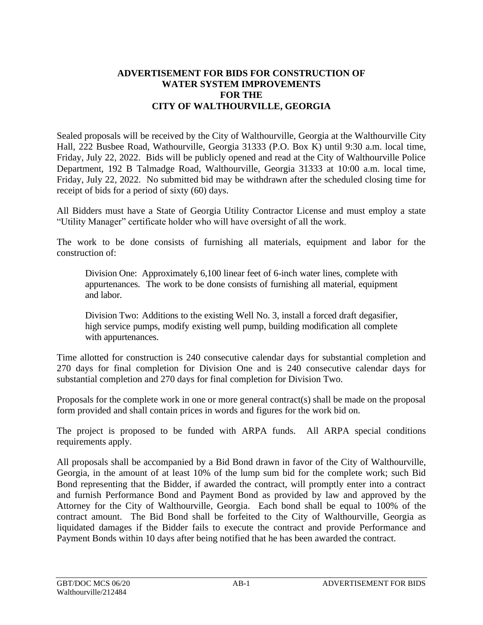## **ADVERTISEMENT FOR BIDS FOR CONSTRUCTION OF WATER SYSTEM IMPROVEMENTS FOR THE CITY OF WALTHOURVILLE, GEORGIA**

Sealed proposals will be received by the City of Walthourville, Georgia at the Walthourville City Hall, 222 Busbee Road, Wathourville, Georgia 31333 (P.O. Box K) until 9:30 a.m. local time, Friday, July 22, 2022. Bids will be publicly opened and read at the City of Walthourville Police Department, 192 B Talmadge Road, Walthourville, Georgia 31333 at 10:00 a.m. local time, Friday, July 22, 2022. No submitted bid may be withdrawn after the scheduled closing time for receipt of bids for a period of sixty (60) days.

All Bidders must have a State of Georgia Utility Contractor License and must employ a state "Utility Manager" certificate holder who will have oversight of all the work.

The work to be done consists of furnishing all materials, equipment and labor for the construction of:

Division One: Approximately 6,100 linear feet of 6-inch water lines, complete with appurtenances. The work to be done consists of furnishing all material, equipment and labor.

Division Two: Additions to the existing Well No. 3, install a forced draft degasifier, high service pumps, modify existing well pump, building modification all complete with appurtenances.

Time allotted for construction is 240 consecutive calendar days for substantial completion and 270 days for final completion for Division One and is 240 consecutive calendar days for substantial completion and 270 days for final completion for Division Two.

Proposals for the complete work in one or more general contract(s) shall be made on the proposal form provided and shall contain prices in words and figures for the work bid on.

The project is proposed to be funded with ARPA funds. All ARPA special conditions requirements apply.

All proposals shall be accompanied by a Bid Bond drawn in favor of the City of Walthourville, Georgia, in the amount of at least 10% of the lump sum bid for the complete work; such Bid Bond representing that the Bidder, if awarded the contract, will promptly enter into a contract and furnish Performance Bond and Payment Bond as provided by law and approved by the Attorney for the City of Walthourville, Georgia. Each bond shall be equal to 100% of the contract amount. The Bid Bond shall be forfeited to the City of Walthourville, Georgia as liquidated damages if the Bidder fails to execute the contract and provide Performance and Payment Bonds within 10 days after being notified that he has been awarded the contract.